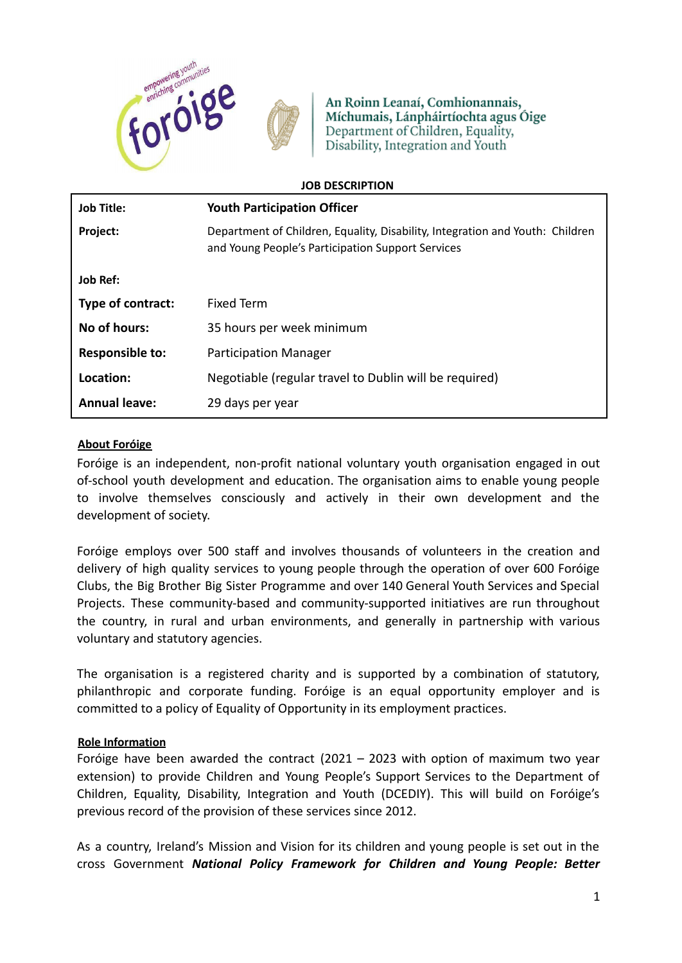

An Roinn Leanaí, Comhionannais, Míchumais, Lánpháirtíochta agus Óige Department of Children, Equality, Disability, Integration and Youth

| <b>JOB DESCRIPTION</b> |                                                                                                                                    |
|------------------------|------------------------------------------------------------------------------------------------------------------------------------|
| <b>Job Title:</b>      | <b>Youth Participation Officer</b>                                                                                                 |
| Project:               | Department of Children, Equality, Disability, Integration and Youth: Children<br>and Young People's Participation Support Services |
| <b>Job Ref:</b>        |                                                                                                                                    |
| Type of contract:      | Fixed Term                                                                                                                         |
| No of hours:           | 35 hours per week minimum                                                                                                          |
| <b>Responsible to:</b> | <b>Participation Manager</b>                                                                                                       |
| Location:              | Negotiable (regular travel to Dublin will be required)                                                                             |
| <b>Annual leave:</b>   | 29 days per year                                                                                                                   |

## **About Foróige**

Foróige is an independent, non-profit national voluntary youth organisation engaged in out of-school youth development and education. The organisation aims to enable young people to involve themselves consciously and actively in their own development and the development of society.

Foróige employs over 500 staff and involves thousands of volunteers in the creation and delivery of high quality services to young people through the operation of over 600 Foróige Clubs, the Big Brother Big Sister Programme and over 140 General Youth Services and Special Projects. These community-based and community-supported initiatives are run throughout the country, in rural and urban environments, and generally in partnership with various voluntary and statutory agencies.

The organisation is a registered charity and is supported by a combination of statutory, philanthropic and corporate funding. Foróige is an equal opportunity employer and is committed to a policy of Equality of Opportunity in its employment practices.

### **Role Information**

Foróige have been awarded the contract  $(2021 - 2023$  with option of maximum two year extension) to provide Children and Young People's Support Services to the Department of Children, Equality, Disability, Integration and Youth (DCEDIY). This will build on Foróige's previous record of the provision of these services since 2012.

As a country, Ireland's Mission and Vision for its children and young people is set out in the cross Government *National Policy Framework for Children and Young People: Better*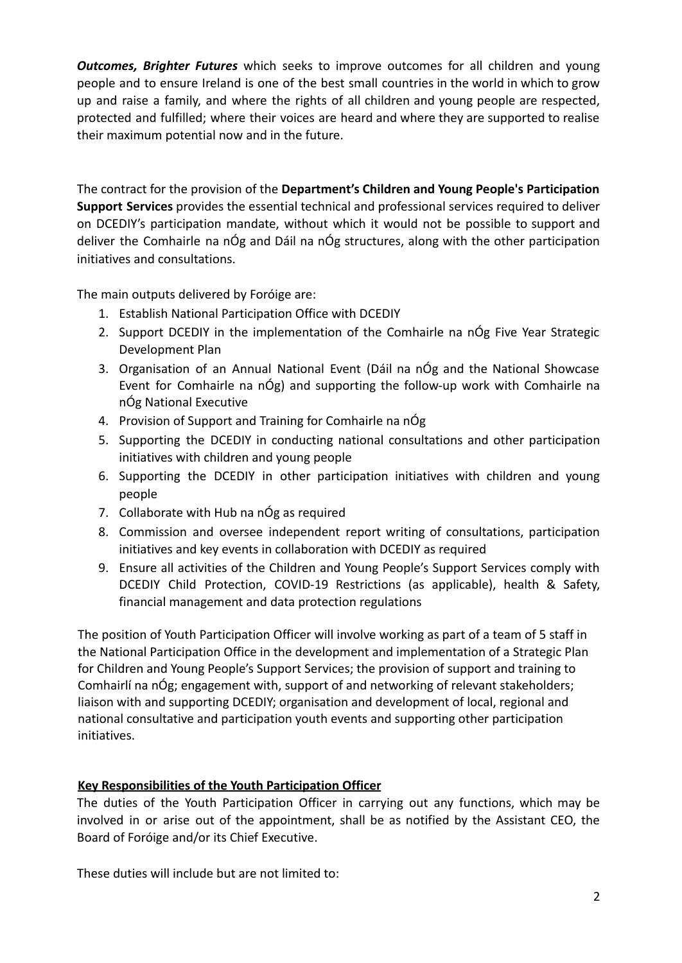*Outcomes, Brighter Futures* which seeks to improve outcomes for all children and young people and to ensure Ireland is one of the best small countries in the world in which to grow up and raise a family, and where the rights of all children and young people are respected, protected and fulfilled; where their voices are heard and where they are supported to realise their maximum potential now and in the future.

The contract for the provision of the **Department's Children and Young People's Participation Support Services** provides the essential technical and professional services required to deliver on DCEDIY's participation mandate, without which it would not be possible to support and deliver the Comhairle na nÓg and Dáil na nÓg structures, along with the other participation initiatives and consultations.

The main outputs delivered by Foróige are:

- 1. Establish National Participation Office with DCEDIY
- 2. Support DCEDIY in the implementation of the Comhairle na nÓg Five Year Strategic Development Plan
- 3. Organisation of an Annual National Event (Dáil na nÓg and the National Showcase Event for Comhairle na nÓg) and supporting the follow-up work with Comhairle na nÓg National Executive
- 4. Provision of Support and Training for Comhairle na nÓg
- 5. Supporting the DCEDIY in conducting national consultations and other participation initiatives with children and young people
- 6. Supporting the DCEDIY in other participation initiatives with children and young people
- 7. Collaborate with Hub na nÓg as required
- 8. Commission and oversee independent report writing of consultations, participation initiatives and key events in collaboration with DCEDIY as required
- 9. Ensure all activities of the Children and Young People's Support Services comply with DCEDIY Child Protection, COVID-19 Restrictions (as applicable), health & Safety, financial management and data protection regulations

The position of Youth Participation Officer will involve working as part of a team of 5 staff in the National Participation Office in the development and implementation of a Strategic Plan for Children and Young People's Support Services; the provision of support and training to Comhairlí na nÓg; engagement with, support of and networking of relevant stakeholders; liaison with and supporting DCEDIY; organisation and development of local, regional and national consultative and participation youth events and supporting other participation initiatives.

# **Key Responsibilities of the Youth Participation Officer**

The duties of the Youth Participation Officer in carrying out any functions, which may be involved in or arise out of the appointment, shall be as notified by the Assistant CEO, the Board of Foróige and/or its Chief Executive.

These duties will include but are not limited to: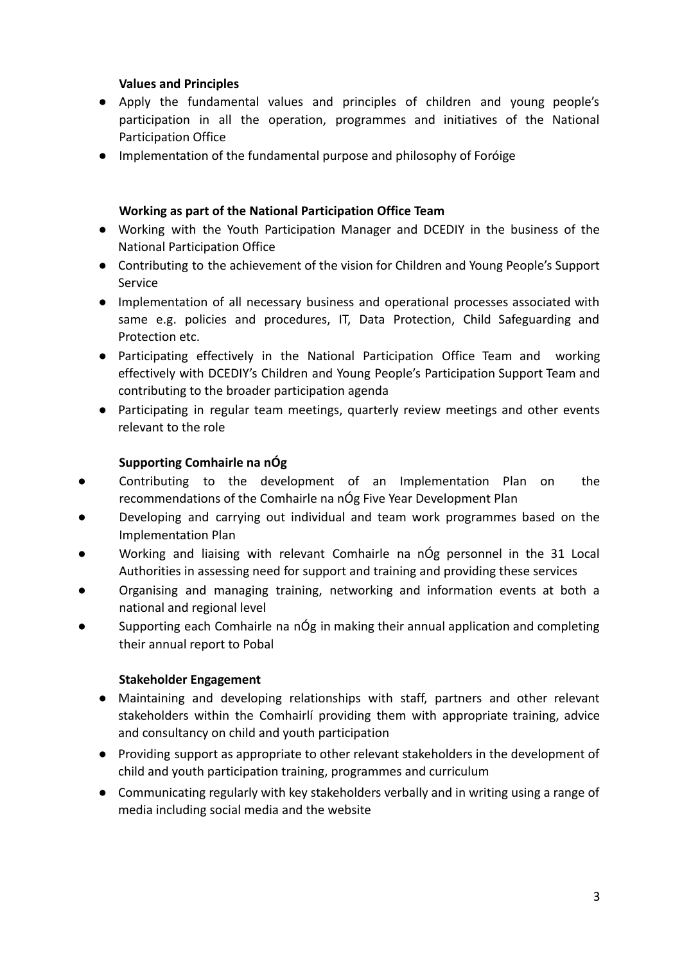# **Values and Principles**

- Apply the fundamental values and principles of children and young people's participation in all the operation, programmes and initiatives of the National Participation Office
- Implementation of the fundamental purpose and philosophy of Foróige

### **Working as part of the National Participation Office Team**

- Working with the Youth Participation Manager and DCEDIY in the business of the National Participation Office
- Contributing to the achievement of the vision for Children and Young People's Support Service
- Implementation of all necessary business and operational processes associated with same e.g. policies and procedures, IT, Data Protection, Child Safeguarding and Protection etc.
- Participating effectively in the National Participation Office Team and working effectively with DCEDIY's Children and Young People's Participation Support Team and contributing to the broader participation agenda
- Participating in regular team meetings, quarterly review meetings and other events relevant to the role

## **Supporting Comhairle na nÓg**

- Contributing to the development of an Implementation Plan on the recommendations of the Comhairle na nÓg Five Year Development Plan
- Developing and carrying out individual and team work programmes based on the Implementation Plan
- Working and liaising with relevant Comhairle na nÓg personnel in the 31 Local Authorities in assessing need for support and training and providing these services
- Organising and managing training, networking and information events at both a national and regional level
- Supporting each Comhairle na nÓg in making their annual application and completing their annual report to Pobal

### **Stakeholder Engagement**

- Maintaining and developing relationships with staff, partners and other relevant stakeholders within the Comhairlí providing them with appropriate training, advice and consultancy on child and youth participation
- Providing support as appropriate to other relevant stakeholders in the development of child and youth participation training, programmes and curriculum
- Communicating regularly with key stakeholders verbally and in writing using a range of media including social media and the website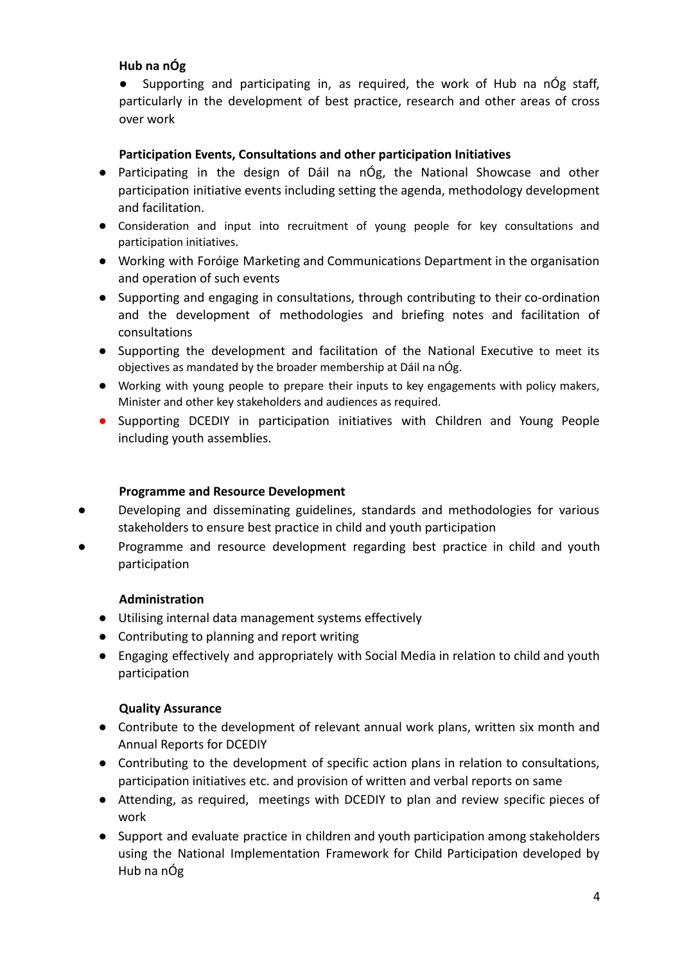# **Hub na nÓg**

● Supporting and participating in, as required, the work of Hub na nÓg staff, particularly in the development of best practice, research and other areas of cross over work

# **Participation Events, Consultations and other participation Initiatives**

- Participating in the design of Dáil na nÓg, the National Showcase and other participation initiative events including setting the agenda, methodology development and facilitation.
- Consideration and input into recruitment of young people for key consultations and participation initiatives.
- Working with Foróige Marketing and Communications Department in the organisation and operation of such events
- Supporting and engaging in consultations, through contributing to their co-ordination and the development of methodologies and briefing notes and facilitation of consultations
- Supporting the development and facilitation of the National Executive to meet its objectives as mandated by the broader membership at Dáil na nÓg.
- Working with young people to prepare their inputs to key engagements with policy makers, Minister and other key stakeholders and audiences as required.
- Supporting DCEDIY in participation initiatives with Children and Young People including youth assemblies.

# **Programme and Resource Development**

- Developing and disseminating guidelines, standards and methodologies for various stakeholders to ensure best practice in child and youth participation
- Programme and resource development regarding best practice in child and youth participation

# **Administration**

- Utilising internal data management systems effectively
- Contributing to planning and report writing
- Engaging effectively and appropriately with Social Media in relation to child and youth participation

# **Quality Assurance**

- Contribute to the development of relevant annual work plans, written six month and Annual Reports for DCEDIY
- Contributing to the development of specific action plans in relation to consultations, participation initiatives etc. and provision of written and verbal reports on same
- Attending, as required, meetings with DCEDIY to plan and review specific pieces of work
- Support and evaluate practice in children and youth participation among stakeholders using the National Implementation Framework for Child Participation developed by Hub na nÓg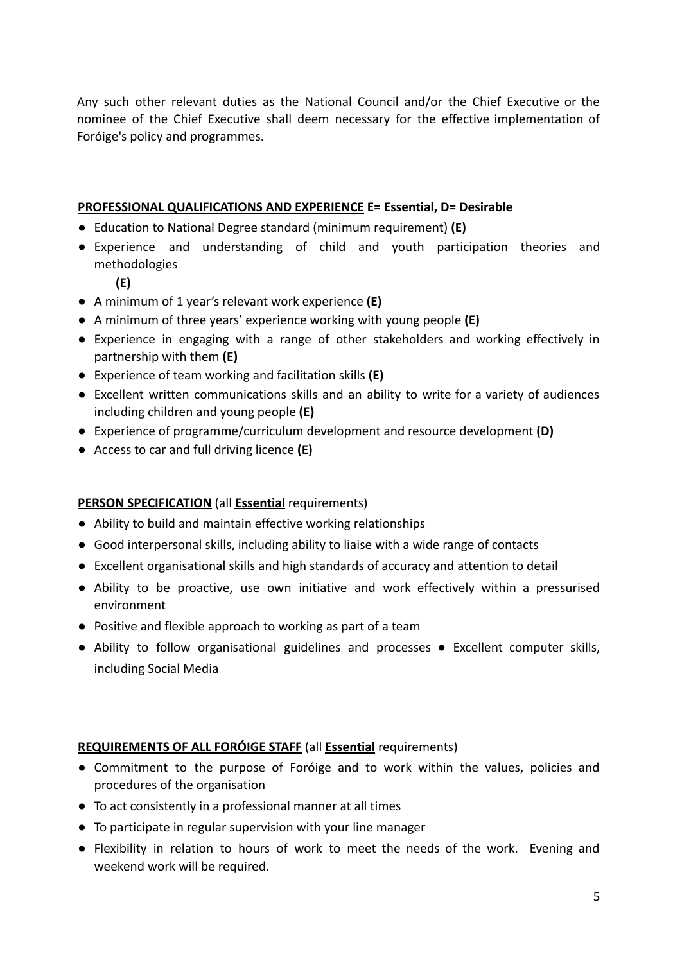Any such other relevant duties as the National Council and/or the Chief Executive or the nominee of the Chief Executive shall deem necessary for the effective implementation of Foróige's policy and programmes.

# **PROFESSIONAL QUALIFICATIONS AND EXPERIENCE E= Essential, D= Desirable**

- Education to National Degree standard (minimum requirement) **(E)**
- Experience and understanding of child and youth participation theories and methodologies
	- **(E)**
- A minimum of 1 year's relevant work experience **(E)**
- A minimum of three years' experience working with young people **(E)**
- Experience in engaging with a range of other stakeholders and working effectively in partnership with them **(E)**
- Experience of team working and facilitation skills **(E)**
- Excellent written communications skills and an ability to write for a variety of audiences including children and young people **(E)**
- Experience of programme/curriculum development and resource development **(D)**
- Access to car and full driving licence **(E)**

### **PERSON SPECIFICATION** (all **Essential** requirements)

- Ability to build and maintain effective working relationships
- Good interpersonal skills, including ability to liaise with a wide range of contacts
- Excellent organisational skills and high standards of accuracy and attention to detail
- Ability to be proactive, use own initiative and work effectively within a pressurised environment
- Positive and flexible approach to working as part of a team
- Ability to follow organisational guidelines and processes Excellent computer skills, including Social Media

### **REQUIREMENTS OF ALL FORÓIGE STAFF** (all **Essential** requirements)

- Commitment to the purpose of Foróige and to work within the values, policies and procedures of the organisation
- To act consistently in a professional manner at all times
- To participate in regular supervision with your line manager
- Flexibility in relation to hours of work to meet the needs of the work. Evening and weekend work will be required.